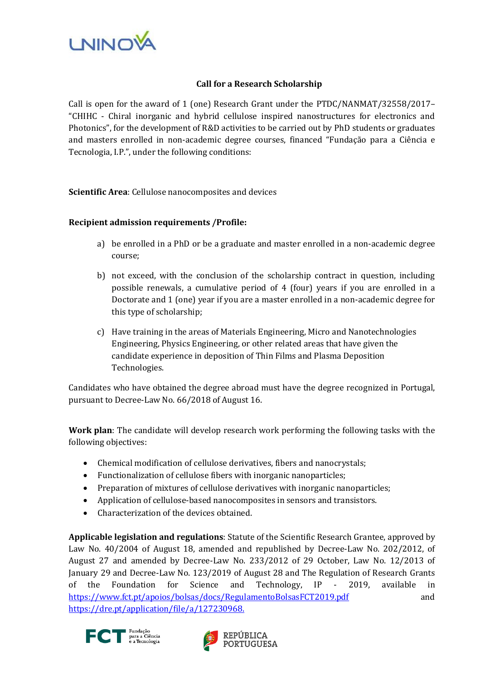

## **Call for a Research Scholarship**

Call is open for the award of 1 (one) Research Grant under the PTDC/NANMAT/32558/2017– "CHIHC - Chiral inorganic and hybrid cellulose inspired nanostructures for electronics and Photonics", for the development of R&D activities to be carried out by PhD students or graduates and masters enrolled in non-academic degree courses, financed "Fundação para a Ciência e Tecnologia, I.P.", under the following conditions:

**Scientific Area**: Cellulose nanocomposites and devices

## **Recipient admission requirements /Profile:**

- a) be enrolled in a PhD or be a graduate and master enrolled in a non-academic degree course;
- b) not exceed, with the conclusion of the scholarship contract in question, including possible renewals, a cumulative period of 4 (four) years if you are enrolled in a Doctorate and 1 (one) year if you are a master enrolled in a non-academic degree for this type of scholarship;
- c) Have training in the areas of Materials Engineering, Micro and Nanotechnologies Engineering, Physics Engineering, or other related areas that have given the candidate experience in deposition of Thin Films and Plasma Deposition Technologies.

Candidates who have obtained the degree abroad must have the degree recognized in Portugal, pursuant to Decree-Law No. 66/2018 of August 16.

**Work plan**: The candidate will develop research work performing the following tasks with the following objectives:

- Chemical modification of cellulose derivatives, fibers and nanocrystals;
- Functionalization of cellulose fibers with inorganic nanoparticles;
- Preparation of mixtures of cellulose derivatives with inorganic nanoparticles;
- Application of cellulose-based nanocomposites in sensors and transistors.
- Characterization of the devices obtained.

**Applicable legislation and regulations**: Statute of the Scientific Research Grantee, approved by Law No. 40/2004 of August 18, amended and republished by Decree-Law No. 202/2012, of August 27 and amended by Decree-Law No. 233/2012 of 29 October, Law No. 12/2013 of January 29 and Decree-Law No. 123/2019 of August 28 and The Regulation of Research Grants of the Foundation for Science and Technology, IP - 2019, available in <https://www.fct.pt/apoios/bolsas/docs/RegulamentoBolsasFCT2019.pdf> and <https://dre.pt/application/file/a/127230968.>



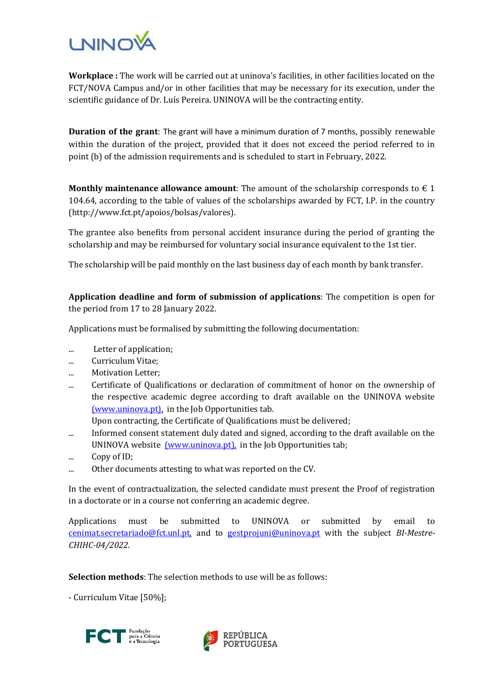

**Workplace :** The work will be carried out at uninova's facilities, in other facilities located on the FCT/NOVA Campus and/or in other facilities that may be necessary for its execution, under the scientific guidance of Dr. Luís Pereira. UNINOVA will be the contracting entity.

**Duration of the grant**: The grant will have a minimum duration of 7 months, possibly renewable within the duration of the project, provided that it does not exceed the period referred to in point (b) of the admission requirements and is scheduled to start in February, 2022.

**Monthly maintenance allowance amount**: The amount of the scholarship corresponds to  $\epsilon$  1 104.64, according to the table of values of the scholarships awarded by FCT, I.P. in the country (http://www.fct.pt/apoios/bolsas/valores).

The grantee also benefits from personal accident insurance during the period of granting the scholarship and may be reimbursed for voluntary social insurance equivalent to the 1st tier.

The scholarship will be paid monthly on the last business day of each month by bank transfer.

**Application deadline and form of submission of applications**: The competition is open for the period from 17 to 28 January 2022.

Applications must be formalised by submitting the following documentation:

- ... Letter of application;
- ... Curriculum Vitae;
- ... Motivation Letter;
- ... Certificate of Qualifications or declaration of commitment of honor on the ownership of the respective academic degree according to draft available on the UNINOVA website [\(www.uninova.pt\),](http://www.uninova.pt/) in the Job Opportunities tab.

Upon contracting, the Certificate of Qualifications must be delivered;

- ... Informed consent statement duly dated and signed, according to the draft available on the UNINOVA website *(www.uninova.pt)*, in the Job Opportunities tab;
- ... Copy of ID;
- ... Other documents attesting to what was reported on the CV.

In the event of contractualization, the selected candidate must present the Proof of registration in a doctorate or in a course not conferring an academic degree.

Applications must be submitted to UNINOVA or submitted by email to [cenimat.secretariado@fct.unl.pt,](mailto:cenimat.secretariado@fct.unl.pt) and to [gestprojuni@uninova.pt](mailto:gestprojuni@uninova.pt) with the subject *BI-Mestre-CHIHC-04/2022*.

**Selection methods**: The selection methods to use will be as follows:

- Curriculum Vitae [50%];